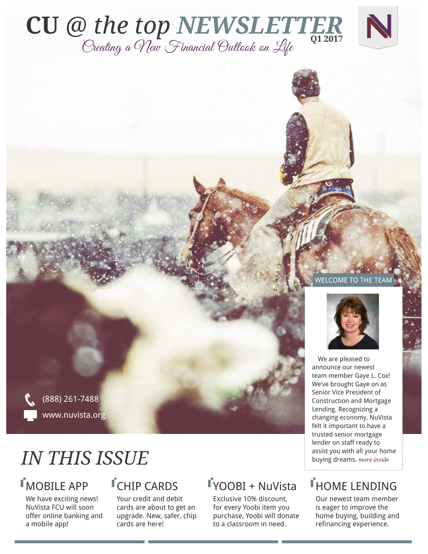



#### WELCOME TO THE TEAM

We are pleased to announce our newest team member Gaye L. Cox! We've brought Gaye on as Senior Vice President of Construction and Mortgage Lending. Recognizing a changing economy, NuVista felt it important to have a trusted senior mortgage lender on staff ready to assist you with all your home buying dreams. *more inside* 

## **THOME LENDING**

Our newest team member is eager to improve the home buying, building and refinancing experience.

(888) 261-7488 www.nuvista.org

## *IN THIS ISSUE*

## MOBILE APP

We have exciting news! NuVista FCU will soon offer online banking and a mobile app!

## **I**CHIP CARDS

Your credit and debit cards are about to get an upgrade. New, safer, chip cards are here!

## YOOBI + NuVista

Exclusive 10% discount, for every Yoobi item you purchase, Yoobi will donate to a classroom in need.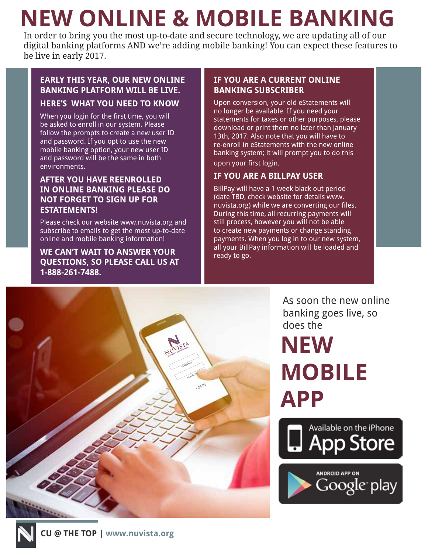# **NEW ONLINE & MOBILE BANKING**

In order to bring you the most up-to-date and secure technology, we are updating all of our digital banking platforms AND we're adding mobile banking! You can expect these features to be live in early 2017.

#### **EARLY THIS YEAR, OUR NEW ONLINE BANKING PLATFORM WILL BE LIVE. HERE'S WHAT YOU NEED TO KNOW**

When you login for the first time, you will be asked to enroll in our system. Please follow the prompts to create a new user ID and password. If you opt to use the new mobile banking option, your new user ID and password will be the same in both environments.

#### **AFTER YOU HAVE REENROLLED IN ONLINE BANKING PLEASE DO NOT FORGET TO SIGN UP FOR ESTATEMENTS!**

Please check our website www.nuvista.org and subscribe to emails to get the most up-to-date online and mobile banking information!

**WE CAN'T WAIT TO ANSWER YOUR QUESTIONS, SO PLEASE CALL US AT 1-888-261-7488.**

#### **IF YOU ARE A CURRENT ONLINE BANKING SUBSCRIBER**

Upon conversion, your old eStatements will no longer be available. If you need your statements for taxes or other purposes, please download or print them no later than January 13th, 2017. Also note that you will have to re-enroll in eStatements with the new online banking system; it will prompt you to do this upon your first login.

#### **IF YOU ARE A BILLPAY USER**

BillPay will have a 1 week black out period (date TBD, check website for details www. nuvista.org) while we are converting our files. During this time, all recurring payments will still process, however you will not be able to create new payments or change standing payments. When you log in to our new system, all your BillPay information will be loaded and ready to go.



As soon the new online banking goes live, so does the

## **NEW MOBILE APP**



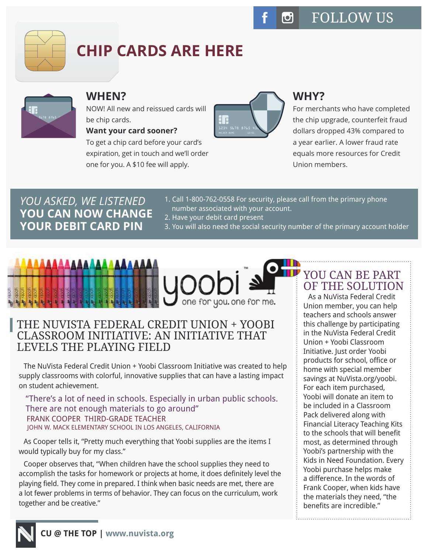

## **CHIP CARDS ARE HERE**



## **WHEN?**

NOW! All new and reissued cards will be chip cards.

#### **Want your card sooner?**

To get a chip card before your card's expiration, get in touch and we'll order one for you. A \$10 fee will apply.



## **WHY?**

For merchants who have completed the chip upgrade, counterfeit fraud dollars dropped 43% compared to a year earlier. A lower fraud rate equals more resources for Credit Union members.

## *YOU ASKED, WE LISTENED* **YOU CAN NOW CHANGE YOUR DEBIT CARD PIN**

- 1. Call 1-800-762-0558 For security, please call from the primary phone number associated with your account.
- 2. Have your debit card present
- 3. You will also need the social security number of the primary account holder

# one for you. one for me.

## THE NUVISTA FEDERAL CREDIT UNION + YOOBI CLASSROOM INITIATIVE: AN INITIATIVE THAT LEVELS THE PLAYING FIELD

The NuVista Federal Credit Union + Yoobi Classroom Initiative was created to help supply classrooms with colorful, innovative supplies that can have a lasting impact on student achievement.

"There's a lot of need in schools. Especially in urban public schools. There are not enough materials to go around" FRANK COOPER THIRD-GRADE TEACHER JOHN W. MACK ELEMENTARY SCHOOL IN LOS ANGELES, CALIFORNIA

As Cooper tells it, "Pretty much everything that Yoobi supplies are the items I would typically buy for my class."

Cooper observes that, "When children have the school supplies they need to accomplish the tasks for homework or projects at home, it does definitely level the playing field. They come in prepared. I think when basic needs are met, there are a lot fewer problems in terms of behavior. They can focus on the curriculum, work together and be creative."

## YOU CAN BE PART OF THE SOLUTION

As a NuVista Federal Credit Union member, you can help teachers and schools answer this challenge by participating in the NuVista Federal Credit Union + Yoobi Classroom Initiative. Just order Yoobi products for school, office or home with special member savings at NuVista.org/yoobi. For each item purchased, Yoobi will donate an item to be included in a Classroom Pack delivered along with Financial Literacy Teaching Kits to the schools that will benefit most, as determined through Yoobi's partnership with the Kids in Need Foundation. Every Yoobi purchase helps make a difference. In the words of Frank Cooper, when kids have the materials they need, "the benefits are incredible."